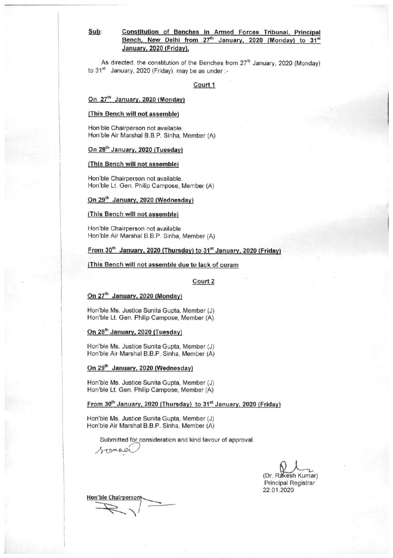# Sub:

### Constitution of Benches in Armed Forces Tribunal, Principal Bench, New Delhi from 27<sup>th</sup> January, 2020 (Monday) to 31<sup>st</sup> January, 2020 (Friday).

As directed, the constitution of the Benches from 27<sup>th</sup> January, 2020 (Monday) to 31<sup>st</sup> January, 2020 (Friday), may be as under :-

#### Court 1

## On 27<sup>th</sup> January, 2020 (Monday)

#### (This Bench will not assemble)

Hon'ble Chairperson not available. Hon'ble Air Marshal B.B.P. Sinha, Member (A)

#### On 28<sup>th</sup> January, 2020 (Tuesday)

## (This Bench will not assemble)

Hon'ble Chairperson not available. Hon'ble Lt. Gen. Philip Campose, Member (A)

## On 29<sup>th</sup> January, 2020 (Wednesday)

#### (This Bench will not assemble)

Hon'ble Chairperson not available Hon'ble Air Marshal B.B.P. Sinha, Member (A)

## From 30th January, 2020 (Thursday) to 31<sup>st</sup> January, 2020 (Friday)

#### (This Bench will not assemble due to lack of coram

### Court 2

#### On 27<sup>th</sup> January, 2020 (Monday)

Hon'ble Ms. Justice Sunita Gupta, Member (J) Hon'ble Lt. Gen. Philip Campose, Member (A)

#### On 28<sup>th</sup> January, 2020 (Tuesday)

Hon'ble Ms. Justice Sunita Gupta, Member (J) Hon'ble Air Marshal B.B.P. Sinha, Member (A)

#### On 29<sup>th</sup> January, 2020 (Wednesday)

Hon'ble Ms. Justice Sunita Gupta, Member (J) Hon'ble Lt. Gen. Philip Campose, Member (A)

## From 30<sup>th</sup> January, 2020 (Thursday) to 31<sup>st</sup> January, 2020 (Friday)

Hon'ble Ms. Justice Sunita Gupta, Member (J) Hon'ble Air Marshal B.B.P. Sinha, Member (A)

Submitted for consideration and kind favour of approval.

(Dr. Rakesh Kumar) Principal Registrar 22.01.2020

Hon'ble Chairperson'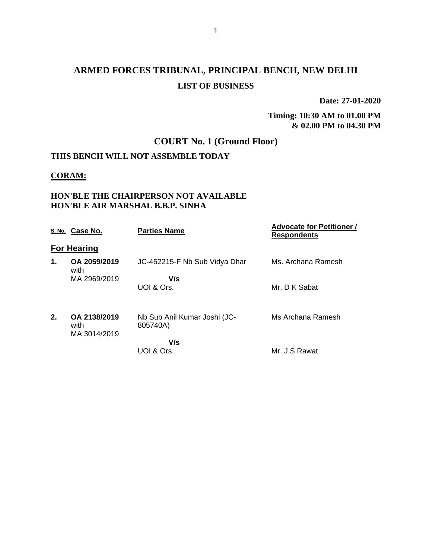# **ARMED FORCES TRIBUNAL, PRINCIPAL BENCH, NEW DELHI LIST OF BUSINESS**

**Date: 27-01-2020**

**Timing: 10:30 AM to 01.00 PM & 02.00 PM to 04.30 PM**

## **COURT No. 1 (Ground Floor)**

## **THIS BENCH WILL NOT ASSEMBLE TODAY**

## **CORAM:**

## **HON'BLE THE CHAIRPERSON NOT AVAILABLE HON'BLE AIR MARSHAL B.B.P. SINHA**

|    | S. No. Case No.                      | <b>Parties Name</b>                      | <b>Advocate for Petitioner /</b><br><b>Respondents</b> |
|----|--------------------------------------|------------------------------------------|--------------------------------------------------------|
|    | <b>For Hearing</b>                   |                                          |                                                        |
| 1. | OA 2059/2019<br>with                 | JC-452215-F Nb Sub Vidya Dhar            | Ms. Archana Ramesh                                     |
|    | MA 2969/2019                         | V/s<br>UOI & Ors.                        | Mr. D K Sabat                                          |
| 2. | OA 2138/2019<br>with<br>MA 3014/2019 | Nb Sub Anil Kumar Joshi (JC-<br>805740A) | Ms Archana Ramesh                                      |
|    |                                      | V/s<br>UOI & Ors.                        | Mr. J S Rawat                                          |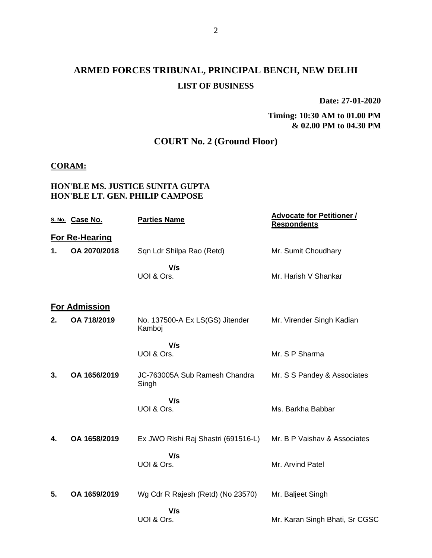# **ARMED FORCES TRIBUNAL, PRINCIPAL BENCH, NEW DELHI LIST OF BUSINESS**

**Date: 27-01-2020**

**Timing: 10:30 AM to 01.00 PM & 02.00 PM to 04.30 PM**

## **COURT No. 2 (Ground Floor)**

## **CORAM:**

## **HON'BLE MS. JUSTICE SUNITA GUPTA HON'BLE LT. GEN. PHILIP CAMPOSE**

|    | S. No. Case No.       | <b>Parties Name</b>                       | <b>Advocate for Petitioner /</b><br><b>Respondents</b> |
|----|-----------------------|-------------------------------------------|--------------------------------------------------------|
|    | <b>For Re-Hearing</b> |                                           |                                                        |
| 1. | OA 2070/2018          | Sqn Ldr Shilpa Rao (Retd)                 | Mr. Sumit Choudhary                                    |
|    |                       | V/s<br>UOI & Ors.                         | Mr. Harish V Shankar                                   |
|    | <b>For Admission</b>  |                                           |                                                        |
| 2. | OA 718/2019           | No. 137500-A Ex LS(GS) Jitender<br>Kamboj | Mr. Virender Singh Kadian                              |
|    |                       | V/s<br>UOI & Ors.                         | Mr. S P Sharma                                         |
| 3. | OA 1656/2019          | JC-763005A Sub Ramesh Chandra<br>Singh    | Mr. S S Pandey & Associates                            |
|    |                       | V/s<br>UOI & Ors.                         | Ms. Barkha Babbar                                      |
| 4. | OA 1658/2019          | Ex JWO Rishi Raj Shastri (691516-L)       | Mr. B P Vaishav & Associates                           |
|    |                       | V/s<br>UOI & Ors.                         | Mr. Arvind Patel                                       |
| 5. | OA 1659/2019          | Wg Cdr R Rajesh (Retd) (No 23570)         | Mr. Baljeet Singh                                      |
|    |                       | V/s<br>UOI & Ors.                         | Mr. Karan Singh Bhati, Sr CGSC                         |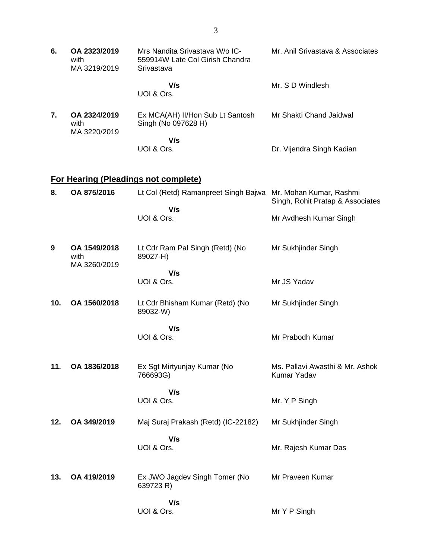| 6.  | OA 2323/2019<br>with<br>MA 3219/2019 | Mrs Nandita Srivastava W/o IC-<br>559914W Late Col Girish Chandra<br>Srivastava | Mr. Anil Srivastava & Associates               |
|-----|--------------------------------------|---------------------------------------------------------------------------------|------------------------------------------------|
|     |                                      | V/s<br>UOI & Ors.                                                               | Mr. S D Windlesh                               |
| 7.  | OA 2324/2019<br>with<br>MA 3220/2019 | Ex MCA(AH) II/Hon Sub Lt Santosh<br>Singh (No 097628 H)                         | Mr Shakti Chand Jaidwal                        |
|     |                                      | V/s<br>UOI & Ors.                                                               | Dr. Vijendra Singh Kadian                      |
|     |                                      | <b>For Hearing (Pleadings not complete)</b>                                     |                                                |
| 8.  | OA 875/2016                          | Lt Col (Retd) Ramanpreet Singh Bajwa Mr. Mohan Kumar, Rashmi                    | Singh, Rohit Pratap & Associates               |
|     |                                      | V/s<br>UOI & Ors.                                                               | Mr Avdhesh Kumar Singh                         |
| 9   | OA 1549/2018<br>with<br>MA 3260/2019 | Lt Cdr Ram Pal Singh (Retd) (No<br>89027-H)                                     | Mr Sukhjinder Singh                            |
|     |                                      | V/s<br>UOI & Ors.                                                               | Mr JS Yadav                                    |
| 10. | OA 1560/2018                         | Lt Cdr Bhisham Kumar (Retd) (No<br>89032-W)                                     | Mr Sukhjinder Singh                            |
|     |                                      | V/s<br>UOI & Ors.                                                               | Mr Prabodh Kumar                               |
| 11. | OA 1836/2018                         | Ex Sgt Mirtyunjay Kumar (No<br>766693G)                                         | Ms. Pallavi Awasthi & Mr. Ashok<br>Kumar Yadav |
|     |                                      | V/s<br>UOI & Ors.                                                               | Mr. Y P Singh                                  |
| 12. | OA 349/2019                          | Maj Suraj Prakash (Retd) (IC-22182)                                             | Mr Sukhjinder Singh                            |
|     |                                      | V/s<br>UOI & Ors.                                                               | Mr. Rajesh Kumar Das                           |
| 13. | OA 419/2019                          | Ex JWO Jagdev Singh Tomer (No<br>639723 R)                                      | Mr Praveen Kumar                               |

Mr Y P Singh

 **V/s** UOI & Ors.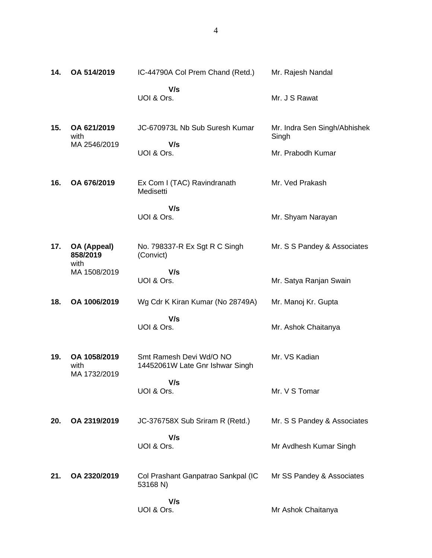| 14. | OA 514/2019                                     | IC-44790A Col Prem Chand (Retd.)                           | Mr. Rajesh Nandal                                          |
|-----|-------------------------------------------------|------------------------------------------------------------|------------------------------------------------------------|
|     |                                                 | V/s<br>UOI & Ors.                                          | Mr. J S Rawat                                              |
| 15. | OA 621/2019<br>with<br>MA 2546/2019             | JC-670973L Nb Sub Suresh Kumar<br>V/s<br>UOI & Ors.        | Mr. Indra Sen Singh/Abhishek<br>Singh<br>Mr. Prabodh Kumar |
| 16. | OA 676/2019                                     | Ex Com I (TAC) Ravindranath<br>Medisetti                   | Mr. Ved Prakash                                            |
|     |                                                 | V/s<br>UOI & Ors.                                          | Mr. Shyam Narayan                                          |
| 17. | OA (Appeal)<br>858/2019<br>with<br>MA 1508/2019 | No. 798337-R Ex Sgt R C Singh<br>(Convict)                 | Mr. S S Pandey & Associates                                |
|     |                                                 | V/s<br>UOI & Ors.                                          | Mr. Satya Ranjan Swain                                     |
| 18. | OA 1006/2019                                    | Wg Cdr K Kiran Kumar (No 28749A)                           | Mr. Manoj Kr. Gupta                                        |
|     |                                                 | V/s<br>UOI & Ors.                                          | Mr. Ashok Chaitanya                                        |
| 19. | OA 1058/2019<br>with<br>MA 1732/2019            | Smt Ramesh Devi Wd/O NO<br>14452061W Late Gnr Ishwar Singh | Mr. VS Kadian                                              |
|     |                                                 | V/s<br>UOI & Ors.                                          | Mr. V S Tomar                                              |
| 20. | OA 2319/2019                                    | JC-376758X Sub Sriram R (Retd.)                            | Mr. S S Pandey & Associates                                |
|     |                                                 | V/s<br>UOI & Ors.                                          | Mr Avdhesh Kumar Singh                                     |
| 21. | OA 2320/2019                                    | Col Prashant Ganpatrao Sankpal (IC<br>53168 N)             | Mr SS Pandey & Associates                                  |
|     |                                                 | V/s<br>UOI & Ors.                                          | Mr Ashok Chaitanya                                         |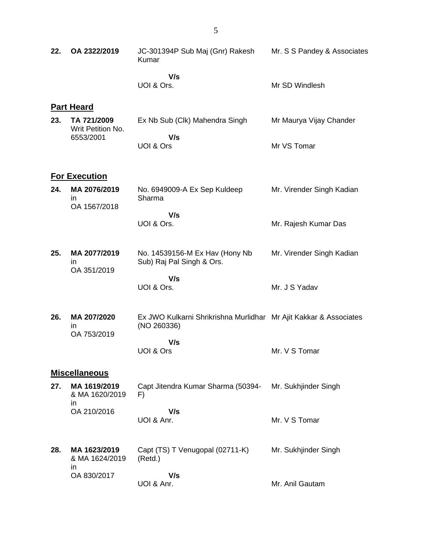| 22. | OA 2322/2019                                        | JC-301394P Sub Maj (Gnr) Rakesh<br>Kumar                                         | Mr. S S Pandey & Associates |
|-----|-----------------------------------------------------|----------------------------------------------------------------------------------|-----------------------------|
|     |                                                     | V/s<br>UOI & Ors.                                                                | Mr SD Windlesh              |
|     | <b>Part Heard</b>                                   |                                                                                  |                             |
| 23. | TA 721/2009<br>Writ Petition No.<br>6553/2001       | Ex Nb Sub (Clk) Mahendra Singh                                                   | Mr Maurya Vijay Chander     |
|     |                                                     | V/s<br>UOI & Ors                                                                 | Mr VS Tomar                 |
|     | <b>For Execution</b>                                |                                                                                  |                             |
| 24. | MA 2076/2019<br>in<br>OA 1567/2018                  | No. 6949009-A Ex Sep Kuldeep<br>Sharma                                           | Mr. Virender Singh Kadian   |
|     |                                                     | V/s<br>UOI & Ors.                                                                | Mr. Rajesh Kumar Das        |
| 25. | MA 2077/2019<br>in.<br>OA 351/2019                  | No. 14539156-M Ex Hav (Hony Nb<br>Sub) Raj Pal Singh & Ors.                      | Mr. Virender Singh Kadian   |
|     |                                                     | V/s<br>UOI & Ors.                                                                | Mr. J S Yadav               |
| 26. | MA 207/2020<br>ın<br>OA 753/2019                    | Ex JWO Kulkarni Shrikrishna Murlidhar Mr Ajit Kakkar & Associates<br>(NO 260336) |                             |
|     |                                                     | V/s<br>UOI & Ors                                                                 | Mr. V S Tomar               |
|     | <b>Miscellaneous</b>                                |                                                                                  |                             |
| 27. | MA 1619/2019<br>& MA 1620/2019<br>in<br>OA 210/2016 | Capt Jitendra Kumar Sharma (50394-<br>F)                                         | Mr. Sukhjinder Singh        |
|     |                                                     | V/s<br>UOI & Anr.                                                                | Mr. V S Tomar               |
| 28. | MA 1623/2019<br>& MA 1624/2019<br>in<br>OA 830/2017 | Capt (TS) T Venugopal (02711-K)<br>(Retd.)                                       | Mr. Sukhjinder Singh        |
|     |                                                     | V/s<br>UOI & Anr.                                                                | Mr. Anil Gautam             |